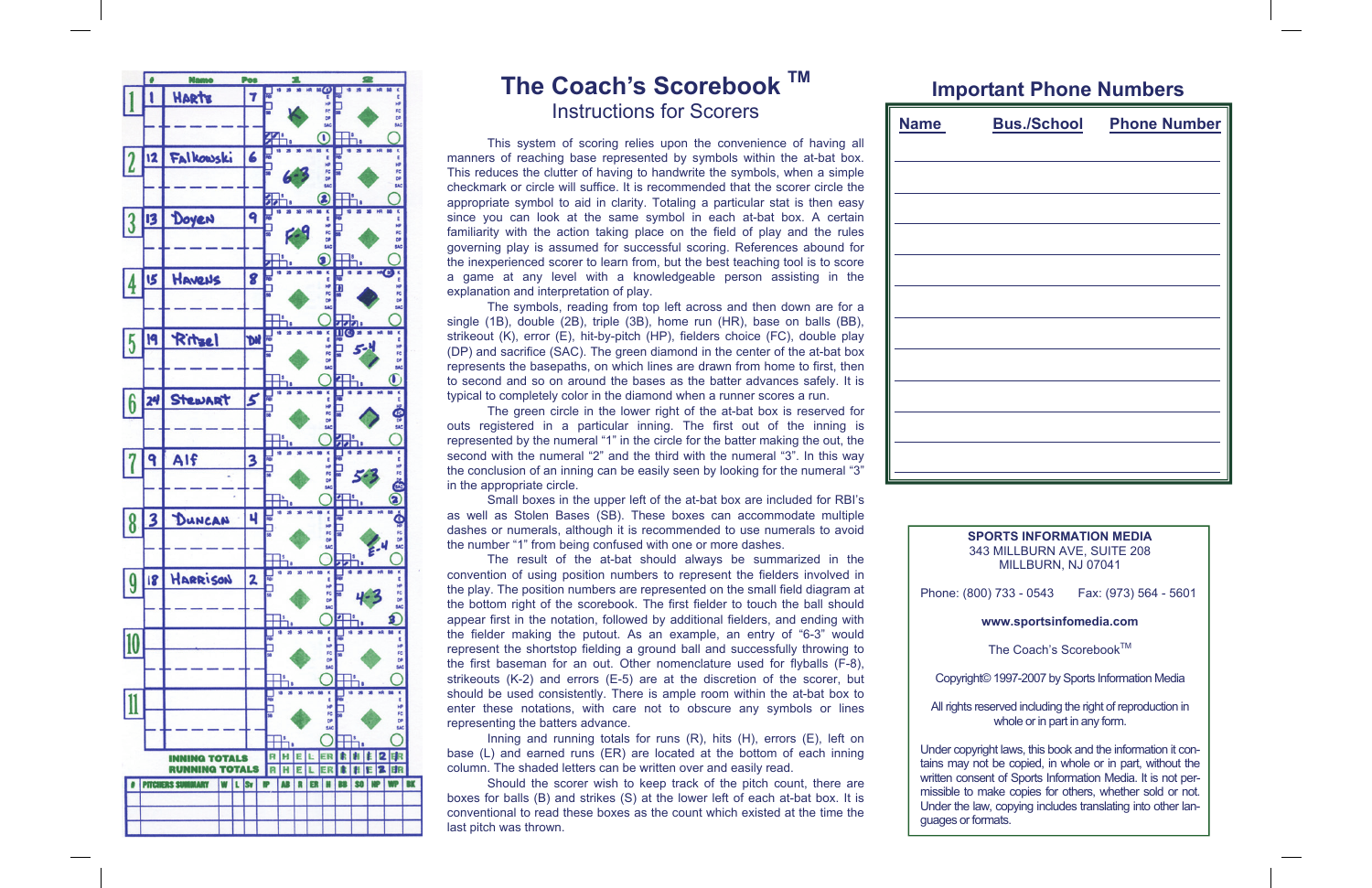

# **The Coach's Scorebook TM** Instructions for Scorers

 This system of scoring relies upon the convenience of having all manners of reaching base represented by symbols within the at-bat box. This reduces the clutter of having to handwrite the symbols, when a simple checkmark or circle will suffice. It is recommended that the scorer circle the appropriate symbol to aid in clarity. Totaling a particular stat is then easy since you can look at the same symbol in each at-bat box. A certain familiarity with the action taking place on the field of play and the rules governing play is assumed for successful scoring. References abound for the inexperienced scorer to learn from, but the best teaching tool is to score a game at any level with a knowledgeable person assisting in the explanation and interpretation of play.

 The symbols, reading from top left across and then down are for a single (1B), double (2B), triple (3B), home run (HR), base on balls (BB), strikeout (K), error (E), hit-by-pitch (HP), fielders choice (FC), double play (DP) and sacrifice (SAC). The green diamond in the center of the at-bat box represents the basepaths, on which lines are drawn from home to first, then to second and so on around the bases as the batter advances safely. It is typical to completely color in the diamond when a runner scores a run.

 The green circle in the lower right of the at-bat box is reserved for outs registered in a particular inning. The first out of the inning is represented by the numeral "1" in the circle for the batter making the out, the second with the numeral "2" and the third with the numeral "3". In this way the conclusion of an inning can be easily seen by looking for the numeral "3" in the appropriate circle.

 Small boxes in the upper left of the at-bat box are included for RBI's as well as Stolen Bases (SB). These boxes can accommodate multiple dashes or numerals, although it is recommended to use numerals to avoid the number "1" from being confused with one or more dashes.

- The Coach's Scorebook™
- Copyright© 1997-2007 by Sports Information Media
- All rights reserved including the right of reproduction in whole or in part in any form.
- Under copyright laws, this book and the information it contains may not be copied, in whole or in part, without the written consent of Sports Information Media. It is not permissible to make copies for others, whether sold or not. Under the law, copying includes translating into other lan-

 The result of the at-bat should always be summarized in the convention of using position numbers to represent the fielders involved in the play. The position numbers are represented on the small field diagram at the bottom right of the scorebook. The first fielder to touch the ball should appear first in the notation, followed by additional fielders, and ending with the fielder making the putout. As an example, an entry of "6-3" would represent the shortstop fielding a ground ball and successfully throwing to the first baseman for an out. Other nomenclature used for flyballs (F-8), strikeouts (K-2) and errors (E-5) are at the discretion of the scorer, but should be used consistently. There is ample room within the at-bat box to enter these notations, with care not to obscure any symbols or lines representing the batters advance.

 Inning and running totals for runs (R), hits (H), errors (E), left on base (L) and earned runs (ER) are located at the bottom of each inning column. The shaded letters can be written over and easily read.

 Should the scorer wish to keep track of the pitch count, there are boxes for balls (B) and strikes (S) at the lower left of each at-bat box. It is conventional to read these boxes as the count which existed at the time the last pitch was thrown.

| <u>Name</u> | <b>Bus./School Phone Number</b> |
|-------------|---------------------------------|
|             |                                 |
|             |                                 |
|             |                                 |
|             |                                 |
|             |                                 |
|             |                                 |
|             |                                 |
|             |                                 |
|             |                                 |
|             |                                 |

## **Important Phone Numbers**

| <b>Name</b> | Βι |
|-------------|----|
|             |    |
|             |    |
|             |    |
|             |    |
|             |    |
|             |    |
|             |    |
|             |    |
|             |    |
|             |    |
|             |    |

### **SPORTS INFORMATION MEDIA**  343 MILLBURN AVE, SUITE 208 MILLBURN, NJ 07041

Phone: (800) 733 - 0543 Fax: (973) 564 - 5601

## **www.sportsinfomedia.com**

guages or formats.